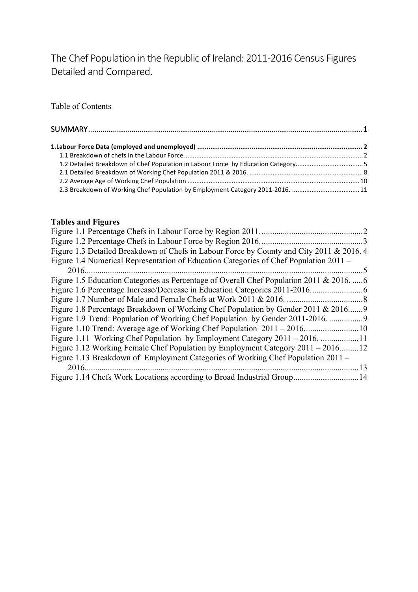The Chef Population in the Republic of Ireland: 2011-2016 Census Figures Detailed and Compared.

Table of Contents

| 2.3 Breakdown of Working Chef Population by Employment Category 2011-2016. 11 |  |
|-------------------------------------------------------------------------------|--|

#### **Tables and Figures**

|                                                                                         | $\mathcal{D}_{\mathcal{L}}$ |
|-----------------------------------------------------------------------------------------|-----------------------------|
|                                                                                         |                             |
| Figure 1.3 Detailed Breakdown of Chefs in Labour Force by County and City 2011 & 2016.4 |                             |
| Figure 1.4 Numerical Representation of Education Categories of Chef Population 2011 –   |                             |
|                                                                                         | 5                           |
| Figure 1.5 Education Categories as Percentage of Overall Chef Population 2011 & 20166   |                             |
|                                                                                         |                             |
|                                                                                         |                             |
| Figure 1.8 Percentage Breakdown of Working Chef Population by Gender 2011 & 2016        |                             |
| Figure 1.9 Trend: Population of Working Chef Population by Gender 2011-2016.            |                             |
|                                                                                         |                             |
|                                                                                         |                             |
| Figure 1.12 Working Female Chef Population by Employment Category 2011 – 201612         |                             |
| Figure 1.13 Breakdown of Employment Categories of Working Chef Population 2011 –        |                             |
|                                                                                         | 13                          |
| Figure 1.14 Chefs Work Locations according to Broad Industrial Group 14                 |                             |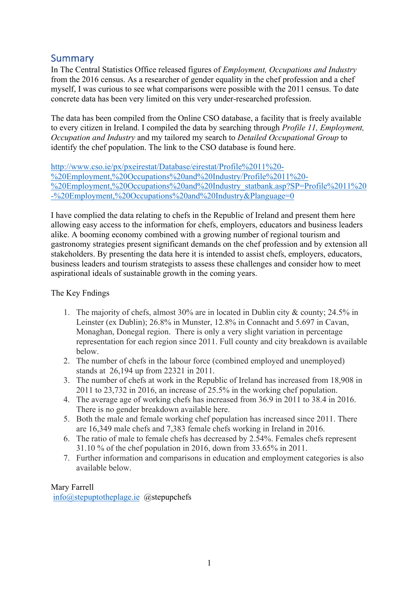# Summary

In The Central Statistics Office released figures of *Employment, Occupations and Industry* from the 2016 census. As a researcher of gender equality in the chef profession and a chef myself, I was curious to see what comparisons were possible with the 2011 census. To date concrete data has been very limited on this very under-researched profession.

The data has been compiled from the Online CSO database, a facility that is freely available to every citizen in Ireland. I compiled the data by searching through *Profile 11, Employment, Occupation and Industry* and my tailored my search to *Detailed Occupational Group* to identify the chef population. The link to the CSO database is found here.

http://www.cso.ie/px/pxeirestat/Database/eirestat/Profile%2011%20- %20Employment,%20Occupations%20and%20Industry/Profile%2011%20- %20Employment,%20Occupations%20and%20Industry\_statbank.asp?SP=Profile%2011%20 -%20Employment,%20Occupations%20and%20Industry&Planguage=0

I have complied the data relating to chefs in the Republic of Ireland and present them here allowing easy access to the information for chefs, employers, educators and business leaders alike. A booming economy combined with a growing number of regional tourism and gastronomy strategies present significant demands on the chef profession and by extension all stakeholders. By presenting the data here it is intended to assist chefs, employers, educators, business leaders and tourism strategists to assess these challenges and consider how to meet aspirational ideals of sustainable growth in the coming years.

# The Key Fndings

- 1. The majority of chefs, almost 30% are in located in Dublin city & county; 24.5% in Leinster (ex Dublin); 26.8% in Munster, 12.8% in Connacht and 5.697 in Cavan, Monaghan, Donegal region. There is only a very slight variation in percentage representation for each region since 2011. Full county and city breakdown is available below.
- 2. The number of chefs in the labour force (combined employed and unemployed) stands at 26,194 up from 22321 in 2011.
- 3. The number of chefs at work in the Republic of Ireland has increased from 18,908 in 2011 to 23,732 in 2016, an increase of 25.5% in the working chef population.
- 4. The average age of working chefs has increased from 36.9 in 2011 to 38.4 in 2016. There is no gender breakdown available here.
- 5. Both the male and female working chef population has increased since 2011. There are 16,349 male chefs and 7,383 female chefs working in Ireland in 2016.
- 6. The ratio of male to female chefs has decreased by 2.54%. Females chefs represent 31.10 % of the chef population in 2016, down from 33.65% in 2011.
- 7. Further information and comparisons in education and employment categories is also available below.

Mary Farrell info@stepuptotheplage.ie @stepupchefs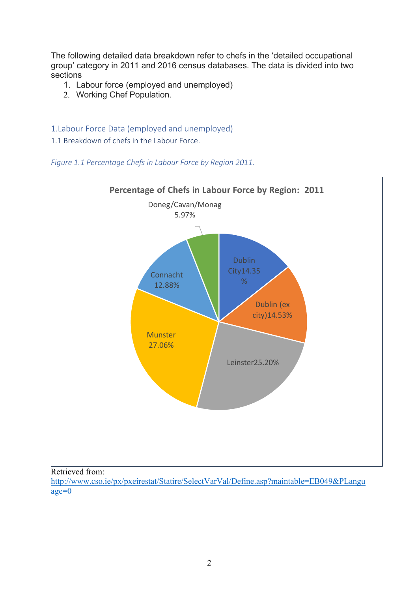The following detailed data breakdown refer to chefs in the 'detailed occupational group' category in 2011 and 2016 census databases. The data is divided into two sections

- 1. Labour force (employed and unemployed)
- 2. Working Chef Population.

# 1.Labour Force Data (employed and unemployed)

1.1 Breakdown of chefs in the Labour Force.





### Retrieved from: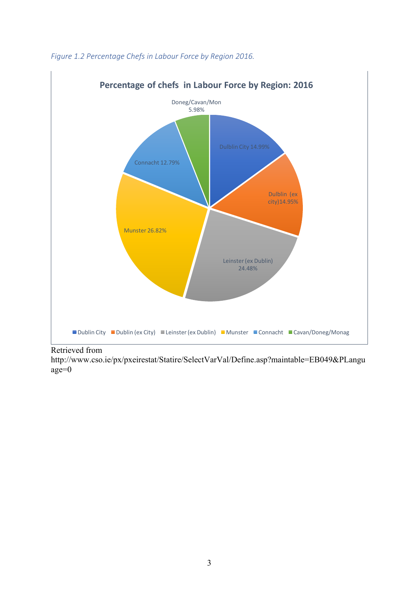

# Figure 1.2 Percentage Chefs in Labour Force by Region 2016.

Retrieved from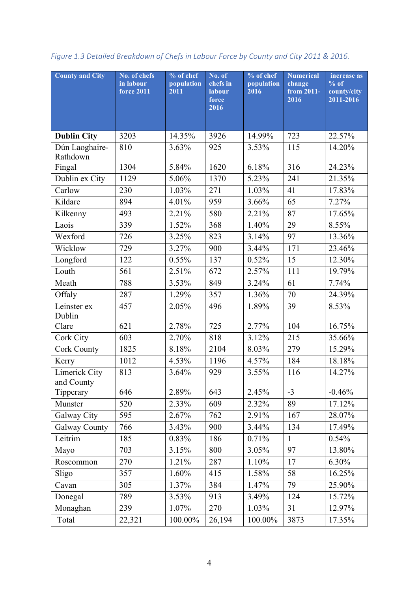| <b>County and City</b>      | No. of chefs<br>in labour<br><b>force 2011</b> | % of chef<br>population<br>2011 | No. of<br>chefs in<br><b>labour</b><br>force<br>2016 | % of chef<br>population<br>2016 | <b>Numerical</b><br>change<br>from 2011-<br>2016 | increase as<br>$%$ of<br>county/city<br>2011-2016 |
|-----------------------------|------------------------------------------------|---------------------------------|------------------------------------------------------|---------------------------------|--------------------------------------------------|---------------------------------------------------|
| <b>Dublin City</b>          | 3203                                           | 14.35%                          | 3926                                                 | 14.99%                          | 723                                              | 22.57%                                            |
| Dún Laoghaire-<br>Rathdown  | 810                                            | 3.63%                           | 925                                                  | 3.53%                           | 115                                              | 14.20%                                            |
| Fingal                      | 1304                                           | 5.84%                           | 1620                                                 | 6.18%                           | 316                                              | 24.23%                                            |
| Dublin ex City              | 1129                                           | 5.06%                           | 1370                                                 | 5.23%                           | 241                                              | 21.35%                                            |
| Carlow                      | 230                                            | 1.03%                           | 271                                                  | 1.03%                           | 41                                               | 17.83%                                            |
| Kildare                     | 894                                            | 4.01%                           | 959                                                  | 3.66%                           | 65                                               | 7.27%                                             |
| Kilkenny                    | 493                                            | 2.21%                           | 580                                                  | 2.21%                           | 87                                               | 17.65%                                            |
| Laois                       | 339                                            | 1.52%                           | 368                                                  | 1.40%                           | 29                                               | 8.55%                                             |
| Wexford                     | 726                                            | 3.25%                           | 823                                                  | 3.14%                           | 97                                               | 13.36%                                            |
| Wicklow                     | 729                                            | 3.27%                           | 900                                                  | 3.44%                           | 171                                              | 23.46%                                            |
| Longford                    | 122                                            | 0.55%                           | 137                                                  | 0.52%                           | 15                                               | 12.30%                                            |
| Louth                       | 561                                            | 2.51%                           | 672                                                  | 2.57%                           | 111                                              | 19.79%                                            |
| Meath                       | 788                                            | 3.53%                           | 849                                                  | 3.24%                           | 61                                               | 7.74%                                             |
| Offaly                      | 287                                            | 1.29%                           | 357                                                  | 1.36%                           | 70                                               | 24.39%                                            |
| Leinster ex<br>Dublin       | 457                                            | 2.05%                           | 496                                                  | 1.89%                           | 39                                               | 8.53%                                             |
| Clare                       | 621                                            | 2.78%                           | 725                                                  | 2.77%                           | 104                                              | 16.75%                                            |
| Cork City                   | 603                                            | 2.70%                           | 818                                                  | 3.12%                           | 215                                              | 35.66%                                            |
| <b>Cork County</b>          | 1825                                           | 8.18%                           | 2104                                                 | 8.03%                           | 279                                              | 15.29%                                            |
| Kerry                       | 1012                                           | 4.53%                           | 1196                                                 | 4.57%                           | 184                                              | 18.18%                                            |
| Limerick City<br>and County | 813                                            | 3.64%                           | 929                                                  | 3.55%                           | 116                                              | 14.27%                                            |
| Tipperary                   | 646                                            | 2.89%                           | 643                                                  | 2.45%                           | $-3$                                             | $-0.46%$                                          |
| Munster                     | 520                                            | 2.33%                           | 609                                                  | 2.32%                           | 89                                               | 17.12%                                            |
| Galway City                 | 595                                            | 2.67%                           | 762                                                  | 2.91%                           | 167                                              | 28.07%                                            |
| <b>Galway County</b>        | 766                                            | 3.43%                           | 900                                                  | 3.44%                           | 134                                              | 17.49%                                            |
| Leitrim                     | 185                                            | 0.83%                           | 186                                                  | 0.71%                           | $\mathbf{1}$                                     | 0.54%                                             |
| Mayo                        | 703                                            | 3.15%                           | 800                                                  | 3.05%                           | 97                                               | 13.80%                                            |
| Roscommon                   | 270                                            | 1.21%                           | 287                                                  | 1.10%                           | 17                                               | 6.30%                                             |
| Sligo                       | 357                                            | 1.60%                           | 415                                                  | 1.58%                           | 58                                               | 16.25%                                            |
| Cavan                       | 305                                            | 1.37%                           | 384                                                  | 1.47%                           | 79                                               | 25.90%                                            |
| Donegal                     | 789                                            | 3.53%                           | 913                                                  | 3.49%                           | 124                                              | 15.72%                                            |
| Monaghan                    | 239                                            | 1.07%                           | 270                                                  | 1.03%                           | 31                                               | 12.97%                                            |
| Total                       | 22,321                                         | 100.00%                         | 26,194                                               | 100.00%                         | 3873                                             | 17.35%                                            |

# *Figure 1.3 Detailed Breakdown of Chefs in Labour Force by County and City 2011 & 2016.*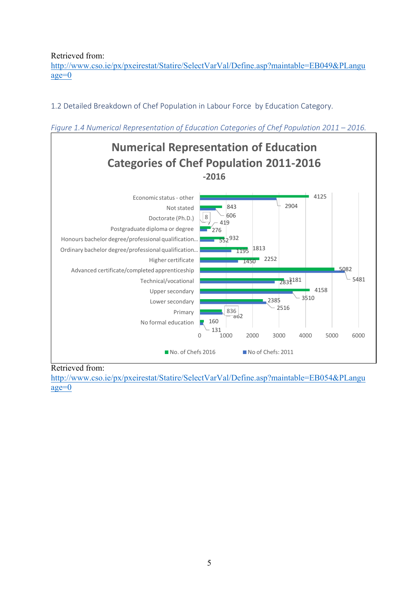Retrieved from:

http://www.cso.ie/px/pxeirestat/Statire/SelectVarVal/Define.asp?maintable=EB049&PLangu age=0

1.2 Detailed Breakdown of Chef Population in Labour Force by Education Category.





### Retrieved from: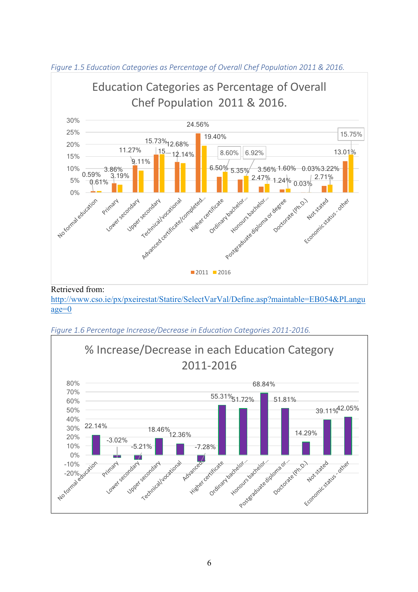

*Figure 1.5 Education Categories as Percentage of Overall Chef Population 2011 & 2016.* 



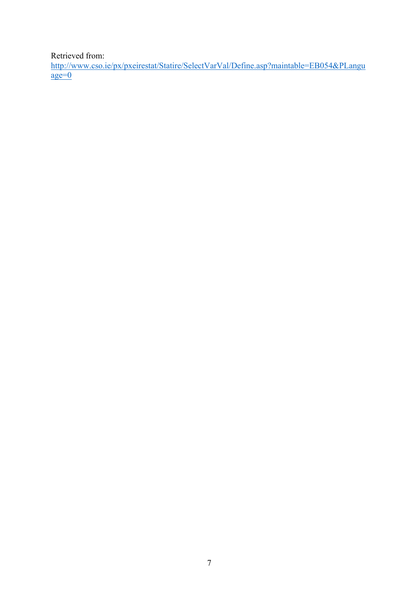Retrieved from: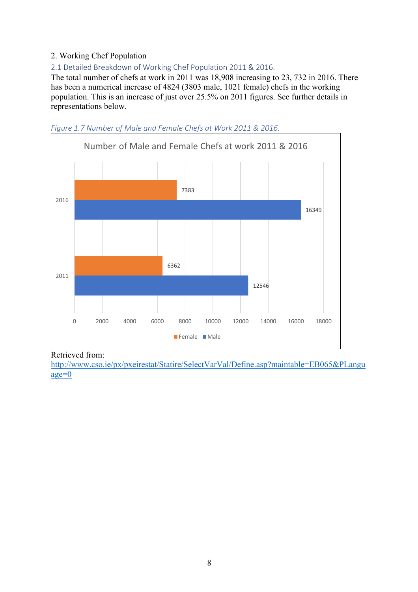# 2. Working Chef Population

2.1 Detailed Breakdown of Working Chef Population 2011 & 2016.

The total number of chefs at work in 2011 was 18,908 increasing to 23, 732 in 2016. There has been a numerical increase of 4824 (3803 male, 1021 female) chefs in the working population. This is an increase of just over 25.5% on 2011 figures. See further details in representations below.



Figure 1.7 Number of Male and Female Chefs at Work 2011 & 2016.

### Retrieved from: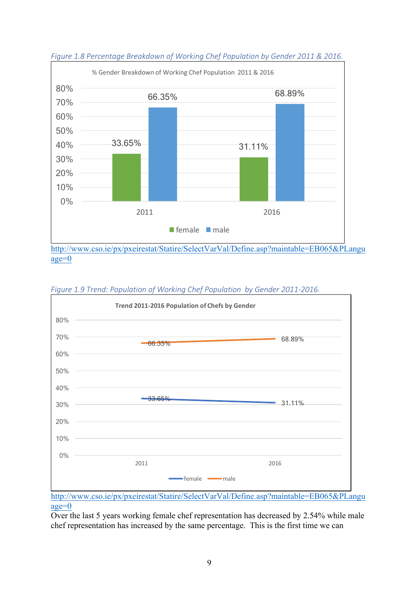

*Figure 1.9 Trend: Population of Working Chef Population by Gender 2011-2016.* 



http://www.cso.ie/px/pxeirestat/Statire/SelectVarVal/Define.asp?maintable=EB065&PLangu age=0

Over the last 5 years working female chef representation has decreased by 2.54% while male chef representation has increased by the same percentage. This is the first time we can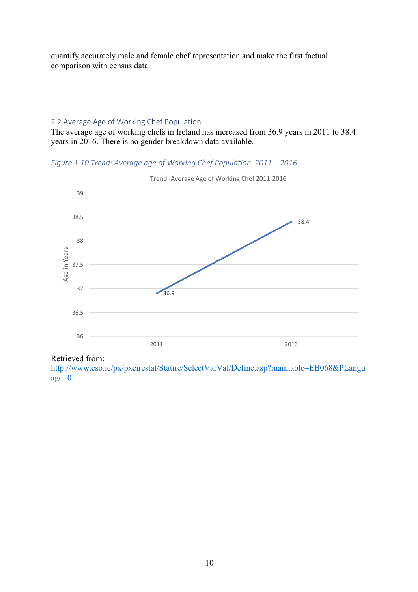quantify accurately male and female chef representation and make the first factual comparison with census data.

## 2.2 Average Age of Working Chef Population

The average age of working chefs in Ireland has increased from 36.9 years in 2011 to 38.4 years in 2016. There is no gender breakdown data available.

*Figure 1.10 Trend: Average age of Working Chef Population 2011 – 2016.* 



Retrieved from: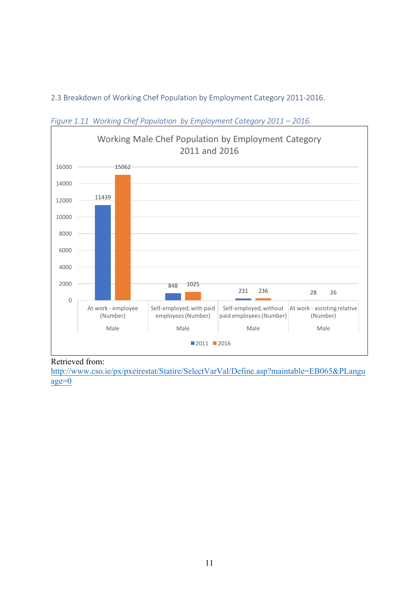2.3 Breakdown of Working Chef Population by Employment Category 2011-2016.



*Figure* 1.11 *Working Chef Population by Employment Category 2011 – 2016.* 

# Retrieved from: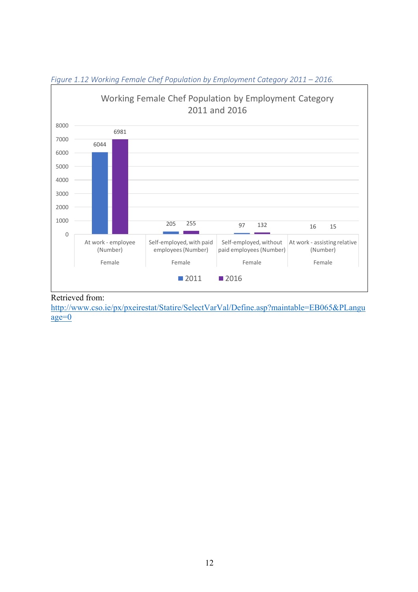

# *Figure* 1.12 *Working Female Chef Population by Employment Category 2011 – 2016.*

# Retrieved from: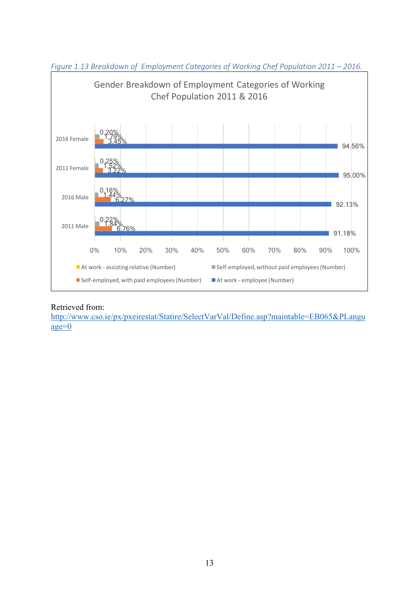

*Figure* 1.13 *Breakdown of Employment Categories of Working Chef Population 2011 – 2016.* 

### Retrieved from: